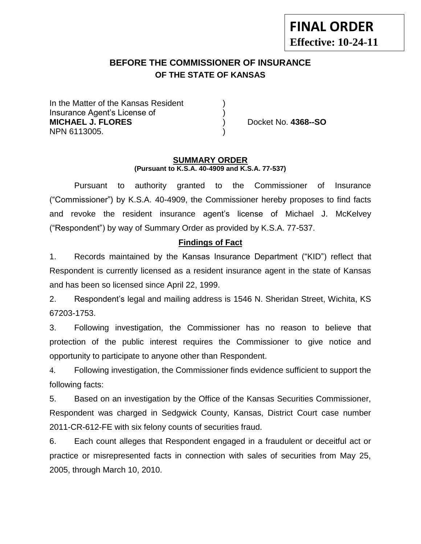# **FINAL ORDER Effective: 10-24-11**

## **BEFORE THE COMMISSIONER OF INSURANCE OF THE STATE OF KANSAS**

In the Matter of the Kansas Resident Insurance Agent's License of ) **MICHAEL J. FLORES** ) Docket No. **4368--SO** NPN 6113005. )

#### **SUMMARY ORDER (Pursuant to K.S.A. 40-4909 and K.S.A. 77-537)**

Pursuant to authority granted to the Commissioner of Insurance ("Commissioner") by K.S.A. 40-4909, the Commissioner hereby proposes to find facts and revoke the resident insurance agent's license of Michael J. McKelvey ("Respondent") by way of Summary Order as provided by K.S.A. 77-537.

## **Findings of Fact**

1. Records maintained by the Kansas Insurance Department ("KID") reflect that Respondent is currently licensed as a resident insurance agent in the state of Kansas and has been so licensed since April 22, 1999.

2. Respondent's legal and mailing address is 1546 N. Sheridan Street, Wichita, KS 67203-1753.

3. Following investigation, the Commissioner has no reason to believe that protection of the public interest requires the Commissioner to give notice and opportunity to participate to anyone other than Respondent.

4. Following investigation, the Commissioner finds evidence sufficient to support the following facts:

5. Based on an investigation by the Office of the Kansas Securities Commissioner, Respondent was charged in Sedgwick County, Kansas, District Court case number 2011-CR-612-FE with six felony counts of securities fraud.

6. Each count alleges that Respondent engaged in a fraudulent or deceitful act or practice or misrepresented facts in connection with sales of securities from May 25, 2005, through March 10, 2010.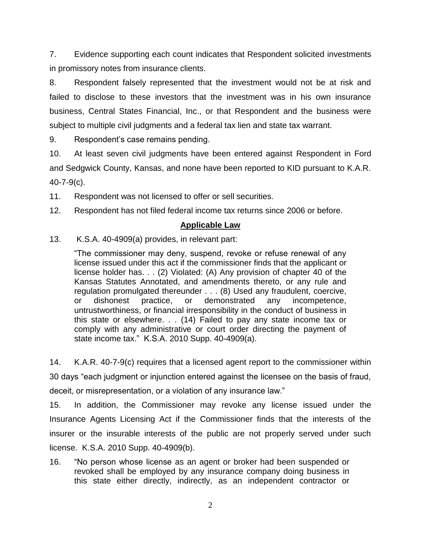7. Evidence supporting each count indicates that Respondent solicited investments in promissory notes from insurance clients.

8. Respondent falsely represented that the investment would not be at risk and failed to disclose to these investors that the investment was in his own insurance business, Central States Financial, Inc., or that Respondent and the business were subject to multiple civil judgments and a federal tax lien and state tax warrant.

9. Respondent's case remains pending.

10. At least seven civil judgments have been entered against Respondent in Ford and Sedgwick County, Kansas, and none have been reported to KID pursuant to K.A.R. 40-7-9(c).

11. Respondent was not licensed to offer or sell securities.

12. Respondent has not filed federal income tax returns since 2006 or before.

## **Applicable Law**

13. K.S.A. 40-4909(a) provides, in relevant part:

"The commissioner may deny, suspend, revoke or refuse renewal of any license issued under this act if the commissioner finds that the applicant or license holder has. . . (2) Violated: (A) Any provision of chapter 40 of the Kansas Statutes Annotated, and amendments thereto, or any rule and regulation promulgated thereunder . . . (8) Used any fraudulent, coercive, or dishonest practice, or demonstrated any incompetence, untrustworthiness, or financial irresponsibility in the conduct of business in this state or elsewhere. . . (14) Failed to pay any state income tax or comply with any administrative or court order directing the payment of state income tax." K.S.A. 2010 Supp. 40-4909(a).

14. K.A.R. 40-7-9(c) requires that a licensed agent report to the commissioner within 30 days "each judgment or injunction entered against the licensee on the basis of fraud, deceit, or misrepresentation, or a violation of any insurance law."

15. In addition, the Commissioner may revoke any license issued under the Insurance Agents Licensing Act if the Commissioner finds that the interests of the insurer or the insurable interests of the public are not properly served under such license. K.S.A. 2010 Supp. 40-4909(b).

16. "No person whose license as an agent or broker had been suspended or revoked shall be employed by any insurance company doing business in this state either directly, indirectly, as an independent contractor or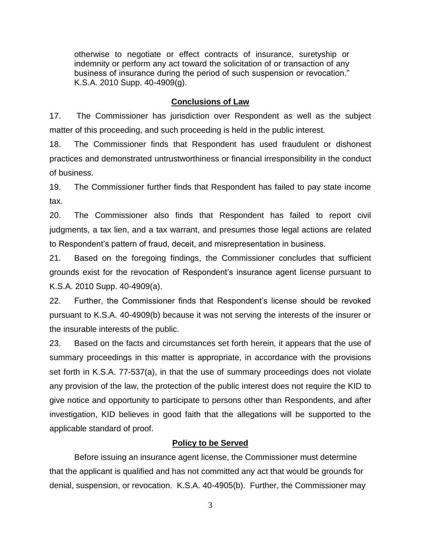otherwise to negotiate or effect contracts of insurance, suretyship or indemnity or perform any act toward the solicitation of or transaction of any business of insurance during the period of such suspension or revocation." K.S.A. 2010 Supp. 40-4909(g).

## **Conclusions of Law**

17. The Commissioner has jurisdiction over Respondent as well as the subject matter of this proceeding, and such proceeding is held in the public interest.

18. The Commissioner finds that Respondent has used fraudulent or dishonest practices and demonstrated untrustworthiness or financial irresponsibility in the conduct of business.

19. The Commissioner further finds that Respondent has failed to pay state income tax.

20. The Commissioner also finds that Respondent has failed to report civil judgments, a tax lien, and a tax warrant, and presumes those legal actions are related to Respondent's pattern of fraud, deceit, and misrepresentation in business.

21. Based on the foregoing findings, the Commissioner concludes that sufficient grounds exist for the revocation of Respondent's insurance agent license pursuant to K.S.A. 2010 Supp. 40-4909(a).

22. Further, the Commissioner finds that Respondent's license should be revoked pursuant to K.S.A. 40-4909(b) because it was not serving the interests of the insurer or the insurable interests of the public.

23. Based on the facts and circumstances set forth herein, it appears that the use of summary proceedings in this matter is appropriate, in accordance with the provisions set forth in K.S.A. 77-537(a), in that the use of summary proceedings does not violate any provision of the law, the protection of the public interest does not require the KID to give notice and opportunity to participate to persons other than Respondents, and after investigation, KID believes in good faith that the allegations will be supported to the applicable standard of proof.

### **Policy to be Served**

Before issuing an insurance agent license, the Commissioner must determine that the applicant is qualified and has not committed any act that would be grounds for denial, suspension, or revocation. K.S.A. 40-4905(b). Further, the Commissioner may

3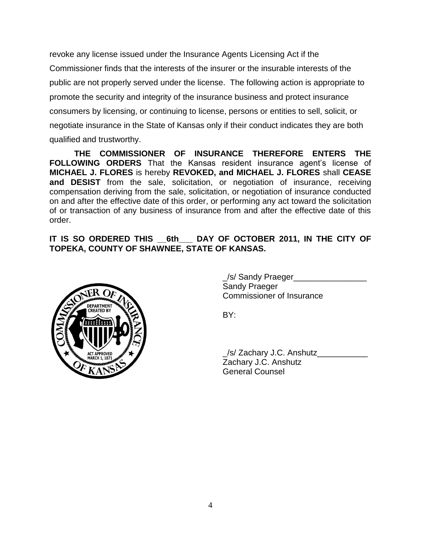revoke any license issued under the Insurance Agents Licensing Act if the Commissioner finds that the interests of the insurer or the insurable interests of the public are not properly served under the license. The following action is appropriate to promote the security and integrity of the insurance business and protect insurance consumers by licensing, or continuing to license, persons or entities to sell, solicit, or negotiate insurance in the State of Kansas only if their conduct indicates they are both qualified and trustworthy.

**THE COMMISSIONER OF INSURANCE THEREFORE ENTERS THE FOLLOWING ORDERS** That the Kansas resident insurance agent's license of **MICHAEL J. FLORES** is hereby **REVOKED, and MICHAEL J. FLORES** shall **CEASE and DESIST** from the sale, solicitation, or negotiation of insurance, receiving compensation deriving from the sale, solicitation, or negotiation of insurance conducted on and after the effective date of this order, or performing any act toward the solicitation of or transaction of any business of insurance from and after the effective date of this order.

**IT IS SO ORDERED THIS \_\_6th\_\_\_ DAY OF OCTOBER 2011, IN THE CITY OF TOPEKA, COUNTY OF SHAWNEE, STATE OF KANSAS.**



\_/s/ Sandy Praeger\_\_\_\_\_\_\_\_\_\_\_\_\_\_\_\_ Sandy Praeger Commissioner of Insurance

BY:

\_/s/ Zachary J.C. Anshutz\_\_\_\_\_\_\_\_\_\_\_ Zachary J.C. Anshutz General Counsel